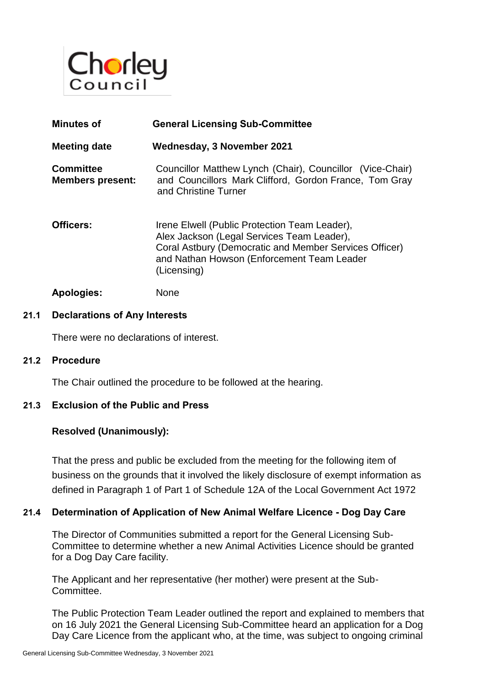

| <b>Minutes of</b>                           | <b>General Licensing Sub-Committee</b>                                                                                                                                                                             |
|---------------------------------------------|--------------------------------------------------------------------------------------------------------------------------------------------------------------------------------------------------------------------|
| <b>Meeting date</b>                         | Wednesday, 3 November 2021                                                                                                                                                                                         |
| <b>Committee</b><br><b>Members present:</b> | Councillor Matthew Lynch (Chair), Councillor (Vice-Chair)<br>and Councillors Mark Clifford, Gordon France, Tom Gray<br>and Christine Turner                                                                        |
| Officers:                                   | Irene Elwell (Public Protection Team Leader),<br>Alex Jackson (Legal Services Team Leader),<br>Coral Astbury (Democratic and Member Services Officer)<br>and Nathan Howson (Enforcement Team Leader<br>(Licensing) |
| <b>Apologies:</b>                           | None                                                                                                                                                                                                               |

# **21.1 Declarations of Any Interests**

There were no declarations of interest.

#### **21.2 Procedure**

The Chair outlined the procedure to be followed at the hearing.

### **21.3 Exclusion of the Public and Press**

### **Resolved (Unanimously):**

That the press and public be excluded from the meeting for the following item of business on the grounds that it involved the likely disclosure of exempt information as defined in Paragraph 1 of Part 1 of Schedule 12A of the Local Government Act 1972

### **21.4 Determination of Application of New Animal Welfare Licence - Dog Day Care**

The Director of Communities submitted a report for the General Licensing Sub-Committee to determine whether a new Animal Activities Licence should be granted for a Dog Day Care facility.

The Applicant and her representative (her mother) were present at the Sub-Committee.

The Public Protection Team Leader outlined the report and explained to members that on 16 July 2021 the General Licensing Sub-Committee heard an application for a Dog Day Care Licence from the applicant who, at the time, was subject to ongoing criminal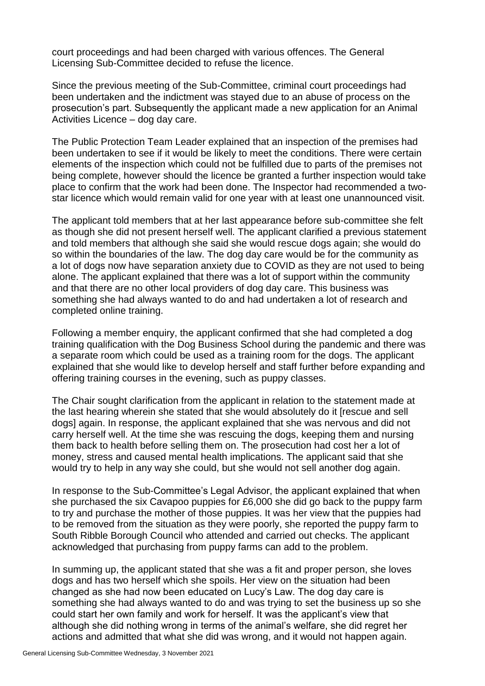court proceedings and had been charged with various offences. The General Licensing Sub-Committee decided to refuse the licence.

Since the previous meeting of the Sub-Committee, criminal court proceedings had been undertaken and the indictment was stayed due to an abuse of process on the prosecution's part. Subsequently the applicant made a new application for an Animal Activities Licence – dog day care.

The Public Protection Team Leader explained that an inspection of the premises had been undertaken to see if it would be likely to meet the conditions. There were certain elements of the inspection which could not be fulfilled due to parts of the premises not being complete, however should the licence be granted a further inspection would take place to confirm that the work had been done. The Inspector had recommended a twostar licence which would remain valid for one year with at least one unannounced visit.

The applicant told members that at her last appearance before sub-committee she felt as though she did not present herself well. The applicant clarified a previous statement and told members that although she said she would rescue dogs again; she would do so within the boundaries of the law. The dog day care would be for the community as a lot of dogs now have separation anxiety due to COVID as they are not used to being alone. The applicant explained that there was a lot of support within the community and that there are no other local providers of dog day care. This business was something she had always wanted to do and had undertaken a lot of research and completed online training.

Following a member enquiry, the applicant confirmed that she had completed a dog training qualification with the Dog Business School during the pandemic and there was a separate room which could be used as a training room for the dogs. The applicant explained that she would like to develop herself and staff further before expanding and offering training courses in the evening, such as puppy classes.

The Chair sought clarification from the applicant in relation to the statement made at the last hearing wherein she stated that she would absolutely do it [rescue and sell dogs] again. In response, the applicant explained that she was nervous and did not carry herself well. At the time she was rescuing the dogs, keeping them and nursing them back to health before selling them on. The prosecution had cost her a lot of money, stress and caused mental health implications. The applicant said that she would try to help in any way she could, but she would not sell another dog again.

In response to the Sub-Committee's Legal Advisor, the applicant explained that when she purchased the six Cavapoo puppies for £6,000 she did go back to the puppy farm to try and purchase the mother of those puppies. It was her view that the puppies had to be removed from the situation as they were poorly, she reported the puppy farm to South Ribble Borough Council who attended and carried out checks. The applicant acknowledged that purchasing from puppy farms can add to the problem.

In summing up, the applicant stated that she was a fit and proper person, she loves dogs and has two herself which she spoils. Her view on the situation had been changed as she had now been educated on Lucy's Law. The dog day care is something she had always wanted to do and was trying to set the business up so she could start her own family and work for herself. It was the applicant's view that although she did nothing wrong in terms of the animal's welfare, she did regret her actions and admitted that what she did was wrong, and it would not happen again.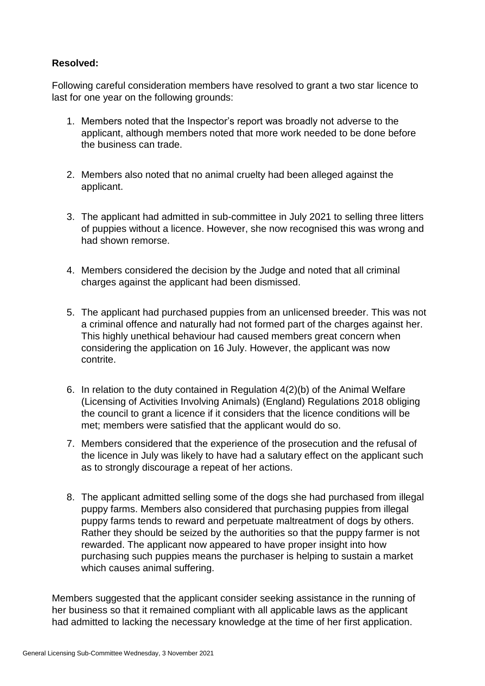## **Resolved:**

Following careful consideration members have resolved to grant a two star licence to last for one year on the following grounds:

- 1. Members noted that the Inspector's report was broadly not adverse to the applicant, although members noted that more work needed to be done before the business can trade.
- 2. Members also noted that no animal cruelty had been alleged against the applicant.
- 3. The applicant had admitted in sub-committee in July 2021 to selling three litters of puppies without a licence. However, she now recognised this was wrong and had shown remorse.
- 4. Members considered the decision by the Judge and noted that all criminal charges against the applicant had been dismissed.
- 5. The applicant had purchased puppies from an unlicensed breeder. This was not a criminal offence and naturally had not formed part of the charges against her. This highly unethical behaviour had caused members great concern when considering the application on 16 July. However, the applicant was now contrite.
- 6. In relation to the duty contained in Regulation 4(2)(b) of the Animal Welfare (Licensing of Activities Involving Animals) (England) Regulations 2018 obliging the council to grant a licence if it considers that the licence conditions will be met; members were satisfied that the applicant would do so.
- 7. Members considered that the experience of the prosecution and the refusal of the licence in July was likely to have had a salutary effect on the applicant such as to strongly discourage a repeat of her actions.
- 8. The applicant admitted selling some of the dogs she had purchased from illegal puppy farms. Members also considered that purchasing puppies from illegal puppy farms tends to reward and perpetuate maltreatment of dogs by others. Rather they should be seized by the authorities so that the puppy farmer is not rewarded. The applicant now appeared to have proper insight into how purchasing such puppies means the purchaser is helping to sustain a market which causes animal suffering.

Members suggested that the applicant consider seeking assistance in the running of her business so that it remained compliant with all applicable laws as the applicant had admitted to lacking the necessary knowledge at the time of her first application.